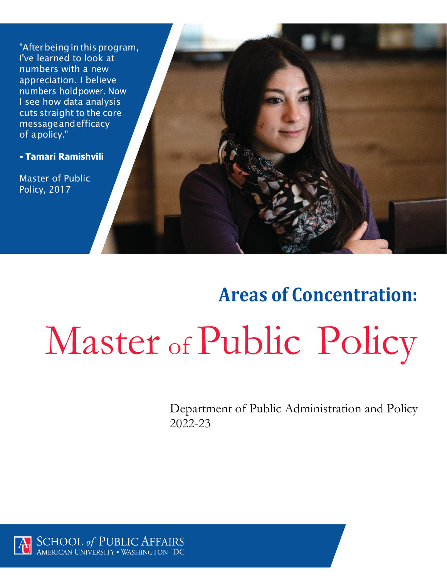"After being in this program, I've learned to look at numbers with a new appreciation. I believe numbers hold power. Now I see how data analysis cuts straight to the core messageandefficacy of apolicy."

- Tamari Ramishvili

Master of Public **Policy, 2017** 

# **Areas of Concentration:** Master of Public Policy

Department of Public Administration and Policy 2022-23

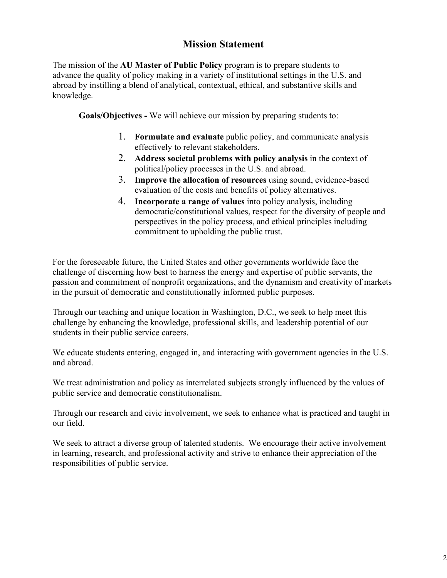## **Mission Statement**

The mission of the **AU Master of Public Policy** program is to prepare students to advance the quality of policy making in a variety of institutional settings in the U.S. and abroad by instilling a blend of analytical, contextual, ethical, and substantive skills and knowledge.

**Goals/Objectives -** We will achieve our mission by preparing students to:

- 1. **Formulate and evaluate** public policy, and communicate analysis effectively to relevant stakeholders.
- 2. **Address societal problems with policy analysis** in the context of political/policy processes in the U.S. and abroad.
- 3. **Improve the allocation of resources** using sound, evidence-based evaluation of the costs and benefits of policy alternatives.
- 4. **Incorporate a range of values** into policy analysis, including democratic/constitutional values, respect for the diversity of people and perspectives in the policy process, and ethical principles including commitment to upholding the public trust.

For the foreseeable future, the United States and other governments worldwide face the challenge of discerning how best to harness the energy and expertise of public servants, the passion and commitment of nonprofit organizations, and the dynamism and creativity of markets in the pursuit of democratic and constitutionally informed public purposes.

Through our teaching and unique location in Washington, D.C., we seek to help meet this challenge by enhancing the knowledge, professional skills, and leadership potential of our students in their public service careers.

We educate students entering, engaged in, and interacting with government agencies in the U.S. and abroad.

We treat administration and policy as interrelated subjects strongly influenced by the values of public service and democratic constitutionalism.

Through our research and civic involvement, we seek to enhance what is practiced and taught in our field.

We seek to attract a diverse group of talented students. We encourage their active involvement in learning, research, and professional activity and strive to enhance their appreciation of the responsibilities of public service.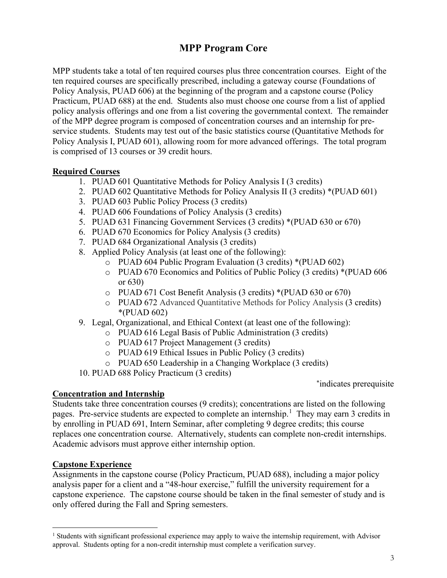## **MPP Program Core**

MPP students take a total of ten required courses plus three concentration courses. Eight of the ten required courses are specifically prescribed, including a gateway course (Foundations of Policy Analysis, PUAD 606) at the beginning of the program and a capstone course (Policy Practicum, PUAD 688) at the end. Students also must choose one course from a list of applied policy analysis offerings and one from a list covering the governmental context. The remainder of the MPP degree program is composed of concentration courses and an internship for preservice students. Students may test out of the basic statistics course (Quantitative Methods for Policy Analysis I, PUAD 601), allowing room for more advanced offerings. The total program is comprised of 13 courses or 39 credit hours.

#### **Required Courses**

- 1. PUAD 601 Quantitative Methods for Policy Analysis I (3 credits)
- 2. PUAD 602 Quantitative Methods for Policy Analysis II (3 credits) \*(PUAD 601)
- 3. PUAD 603 Public Policy Process (3 credits)
- 4. PUAD 606 Foundations of Policy Analysis (3 credits)
- 5. PUAD 631 Financing Government Services (3 credits) \*(PUAD 630 or 670)
- 6. PUAD 670 Economics for Policy Analysis (3 credits)
- 7. PUAD 684 Organizational Analysis (3 credits)
- 8. Applied Policy Analysis (at least one of the following):
	- o PUAD 604 Public Program Evaluation (3 credits) \*(PUAD 602)
	- o PUAD 670 Economics and Politics of Public Policy (3 credits) \*(PUAD 606 or 630)
	- o PUAD 671 Cost Benefit Analysis (3 credits) \*(PUAD 630 or 670)
	- o PUAD 672 Advanced Quantitative Methods for Policy Analysis (3 credits) \*(PUAD 602)
- 9. Legal, Organizational, and Ethical Context (at least one of the following):
	- o PUAD 616 Legal Basis of Public Administration (3 credits)
		- o PUAD 617 Project Management (3 credits)
		- o PUAD 619 Ethical Issues in Public Policy (3 credits)
		- o PUAD 650 Leadership in a Changing Workplace (3 credits)
- 10. PUAD 688 Policy Practicum (3 credits)

<sup>∗</sup>indicates prerequisite

#### **Concentration and Internship**

Students take three concentration courses (9 credits); concentrations are listed on the following pages. Pre-service students are expected to complete an internship.<sup>[1](#page-2-0)</sup> They may earn 3 credits in by enrolling in PUAD 691, Intern Seminar, after completing 9 degree credits; this course replaces one concentration course. Alternatively, students can complete non-credit internships. Academic advisors must approve either internship option.

### **Capstone Experience**

Assignments in the capstone course (Policy Practicum, PUAD 688), including a major policy analysis paper for a client and a "48-hour exercise," fulfill the university requirement for a capstone experience. The capstone course should be taken in the final semester of study and is only offered during the Fall and Spring semesters.

<span id="page-2-0"></span><sup>&</sup>lt;sup>1</sup> Students with significant professional experience may apply to waive the internship requirement, with Advisor approval. Students opting for a non-credit internship must complete a verification survey.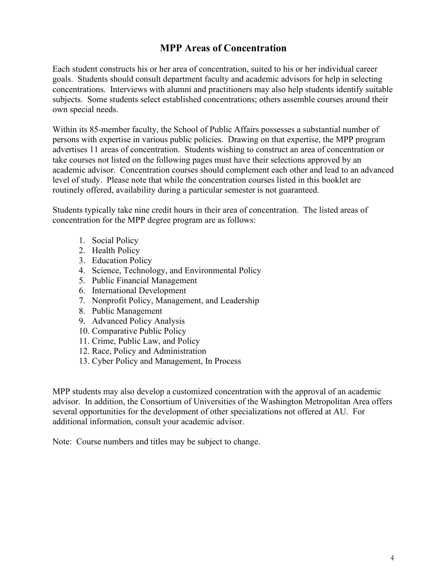## **MPP Areas of Concentration**

Each student constructs his or her area of concentration, suited to his or her individual career goals. Students should consult department faculty and academic advisors for help in selecting concentrations. Interviews with alumni and practitioners may also help students identify suitable subjects. Some students select established concentrations; others assemble courses around their own special needs.

Within its 85-member faculty, the School of Public Affairs possesses a substantial number of persons with expertise in various public policies. Drawing on that expertise, the MPP program advertises 11 areas of concentration. Students wishing to construct an area of concentration or take courses not listed on the following pages must have their selections approved by an academic advisor. Concentration courses should complement each other and lead to an advanced level of study. Please note that while the concentration courses listed in this booklet are routinely offered, availability during a particular semester is not guaranteed.

Students typically take nine credit hours in their area of concentration. The listed areas of concentration for the MPP degree program are as follows:

- 1. Social Policy
- 2. Health Policy
- 3. Education Policy
- 4. Science, Technology, and Environmental Policy
- 5. Public Financial Management
- 6. International Development
- 7. Nonprofit Policy, Management, and Leadership
- 8. Public Management
- 9. Advanced Policy Analysis
- 10. Comparative Public Policy
- 11. Crime, Public Law, and Policy
- 12. Race, Policy and Administration
- 13. Cyber Policy and Management, In Process

MPP students may also develop a customized concentration with the approval of an academic advisor. In addition, the Consortium of Universities of the Washington Metropolitan Area offers several opportunities for the development of other specializations not offered at AU. For additional information, consult your academic advisor.

Note: Course numbers and titles may be subject to change.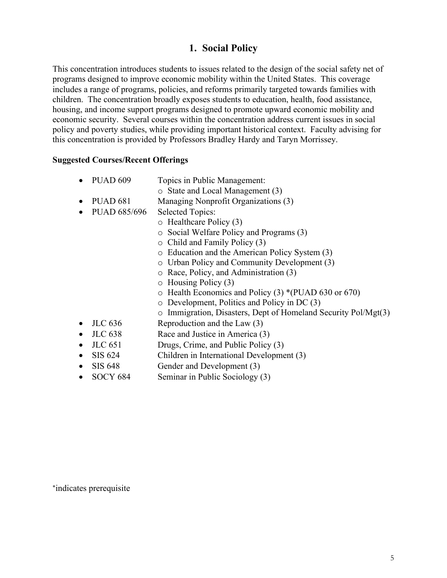## **1. Social Policy**

This concentration introduces students to issues related to the design of the social safety net of programs designed to improve economic mobility within the United States. This coverage includes a range of programs, policies, and reforms primarily targeted towards families with children. The concentration broadly exposes students to education, health, food assistance, housing, and income support programs designed to promote upward economic mobility and economic security. Several courses within the concentration address current issues in social policy and poverty studies, while providing important historical context. Faculty advising for this concentration is provided by Professors Bradley Hardy and Taryn Morrissey.

#### **Suggested Courses/Recent Offerings**

- PUAD 609 Topics in Public Management:
	- o State and Local Management (3)
- PUAD 681 Managing Nonprofit Organizations (3)
- PUAD 685/696 Selected Topics:
	- o Healthcare Policy (3)
	- o Social Welfare Policy and Programs (3)
	- o Child and Family Policy (3)
	- o Education and the American Policy System (3)
	- o Urban Policy and Community Development (3)
	- o Race, Policy, and Administration (3)
	- o Housing Policy (3)
	- o Health Economics and Policy (3) \*(PUAD 630 or 670)
	- o Development, Politics and Policy in DC (3)
	- o Immigration, Disasters, Dept of Homeland Security Pol/Mgt(3)
- JLC 636 Reproduction and the Law (3)
- JLC 638 Race and Justice in America (3)
- JLC 651 Drugs, Crime, and Public Policy (3)
- SIS 624 Children in International Development (3)
- SIS 648 Gender and Development (3)
- SOCY 684 Seminar in Public Sociology (3)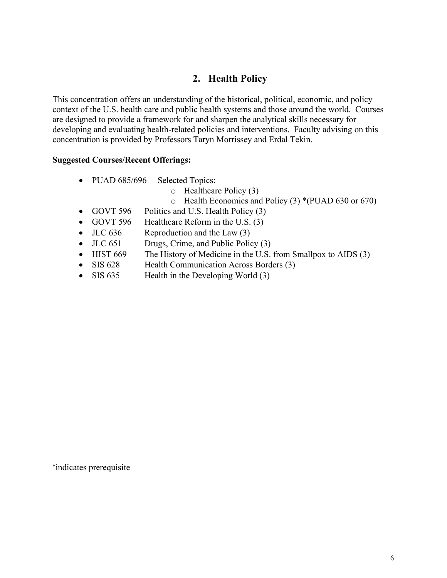## **2. Health Policy**

This concentration offers an understanding of the historical, political, economic, and policy context of the U.S. health care and public health systems and those around the world. Courses are designed to provide a framework for and sharpen the analytical skills necessary for developing and evaluating health-related policies and interventions. Faculty advising on this concentration is provided by Professors Taryn Morrissey and Erdal Tekin.

#### **Suggested Courses/Recent Offerings:**

- PUAD 685/696 Selected Topics:
	- o Healthcare Policy (3)
	- o Health Economics and Policy (3) \*(PUAD 630 or 670)
- GOVT 596 Politics and U.S. Health Policy (3)
- GOVT 596 Healthcare Reform in the U.S. (3)
- JLC 636 Reproduction and the Law (3)
- JLC 651 Drugs, Crime, and Public Policy (3)
- HIST 669 The History of Medicine in the U.S. from Smallpox to AIDS (3)
- SIS 628 Health Communication Across Borders (3)
- SIS 635 Health in the Developing World (3)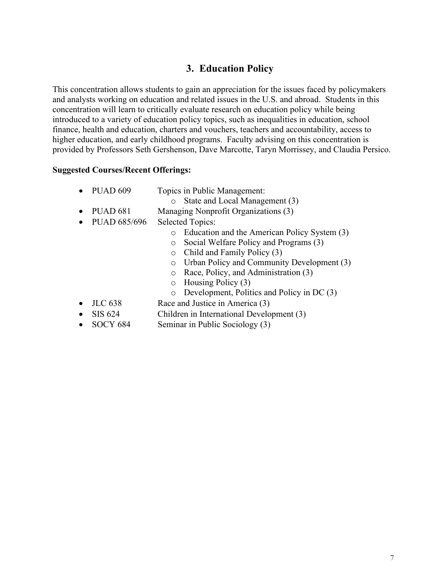## **3. Education Policy**

This concentration allows students to gain an appreciation for the issues faced by policymakers and analysts working on education and related issues in the U.S. and abroad. Students in this concentration will learn to critically evaluate research on education policy while being introduced to a variety of education policy topics, such as inequalities in education, school finance, health and education, charters and vouchers, teachers and accountability, access to higher education, and early childhood programs. Faculty advising on this concentration is provided by Professors Seth Gershenson, Dave Marcotte, Taryn Morrissey, and Claudia Persico.

| Topics in Public Management:<br><b>PUAD 609</b> |
|-------------------------------------------------|
|-------------------------------------------------|

- o State and Local Management (3)
- PUAD 681 Managing Nonprofit Organizations (3)
- PUAD 685/696 Selected Topics:
	- o Education and the American Policy System (3)
	- o Social Welfare Policy and Programs (3)
	- o Child and Family Policy (3)
	- o Urban Policy and Community Development (3)
	- o Race, Policy, and Administration (3)
	- o Housing Policy (3)
	- o Development, Politics and Policy in DC (3)
- JLC 638 Race and Justice in America (3)
- SIS 624 Children in International Development (3)
- SOCY 684 Seminar in Public Sociology (3)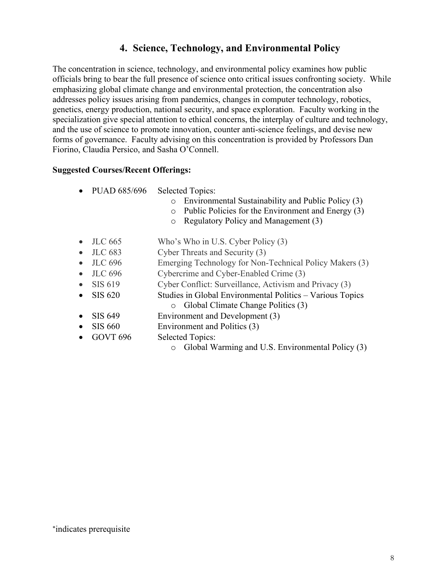## **4. Science, Technology, and Environmental Policy**

The concentration in science, technology, and environmental policy examines how public officials bring to bear the full presence of science onto critical issues confronting society. While emphasizing global climate change and environmental protection, the concentration also addresses policy issues arising from pandemics, changes in computer technology, robotics, genetics, energy production, national security, and space exploration. Faculty working in the specialization give special attention to ethical concerns, the interplay of culture and technology, and the use of science to promote innovation, counter anti-science feelings, and devise new forms of governance. Faculty advising on this concentration is provided by Professors Dan Fiorino, Claudia Persico, and Sasha O'Connell.

- PUAD 685/696 Selected Topics:
	- o Environmental Sustainability and Public Policy (3)
	- o Public Policies for the Environment and Energy (3)
	- o Regulatory Policy and Management (3)
- JLC 665 Who's Who in U.S. Cyber Policy (3)
- JLC 683 Cyber Threats and Security (3)
- JLC 696 Emerging Technology for Non-Technical Policy Makers (3)
- JLC 696 Cybercrime and Cyber-Enabled Crime (3)
- SIS 619 Cyber Conflict: Surveillance, Activism and Privacy (3)
- SIS 620 Studies in Global Environmental Politics Various Topics o Global Climate Change Politics (3)
- SIS 649 Environment and Development (3)
- SIS 660 Environment and Politics (3)
- GOVT 696 Selected Topics:
	- o Global Warming and U.S. Environmental Policy (3)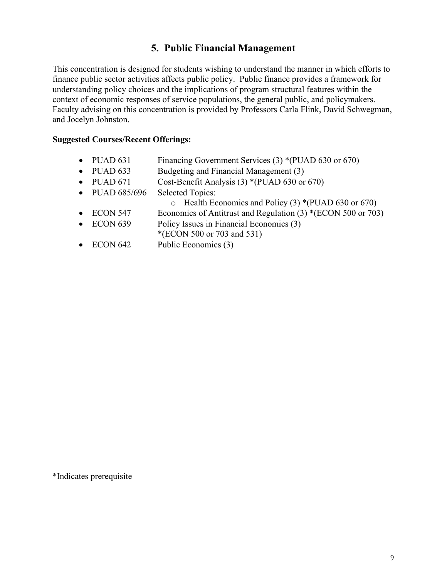## **5. Public Financial Management**

This concentration is designed for students wishing to understand the manner in which efforts to finance public sector activities affects public policy. Public finance provides a framework for understanding policy choices and the implications of program structural features within the context of economic responses of service populations, the general public, and policymakers. Faculty advising on this concentration is provided by Professors Carla Flink, David Schwegman, and Jocelyn Johnston.

#### **Suggested Courses/Recent Offerings:**

- PUAD 631 Financing Government Services (3) \*(PUAD 630 or 670)
- PUAD 633 Budgeting and Financial Management (3)
- PUAD 671 Cost-Benefit Analysis (3) \*(PUAD 630 or 670)
- PUAD 685/696 Selected Topics:
	- o Health Economics and Policy (3) \*(PUAD 630 or 670)
- ECON 547 Economics of Antitrust and Regulation (3) \*(ECON 500 or 703)
- ECON 639 Policy Issues in Financial Economics (3)
- \*(ECON 500 or 703 and 531)
- ECON 642 Public Economics (3)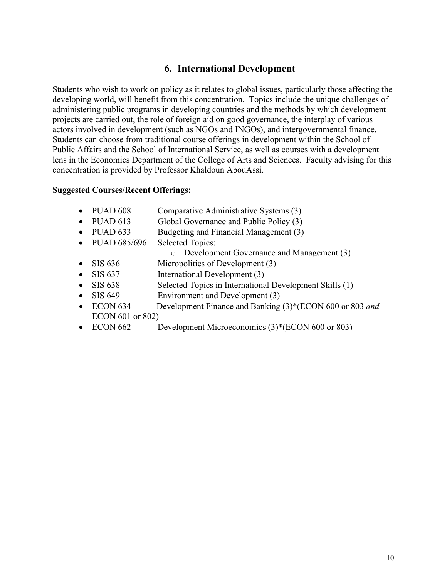## **6. International Development**

Students who wish to work on policy as it relates to global issues, particularly those affecting the developing world, will benefit from this concentration. Topics include the unique challenges of administering public programs in developing countries and the methods by which development projects are carried out, the role of foreign aid on good governance, the interplay of various actors involved in development (such as NGOs and INGOs), and intergovernmental finance. Students can choose from traditional course offerings in development within the School of Public Affairs and the School of International Service, as well as courses with a development lens in the Economics Department of the College of Arts and Sciences. Faculty advising for this concentration is provided by Professor Khaldoun AbouAssi.

|           | $\bullet$ PUAD 608               | Comparative Administrative Systems (3)                   |
|-----------|----------------------------------|----------------------------------------------------------|
|           | $\bullet$ PUAD 613               | Global Governance and Public Policy (3)                  |
|           | $\bullet$ PUAD 633               | Budgeting and Financial Management (3)                   |
|           | • PUAD $685/696$                 | <b>Selected Topics:</b>                                  |
|           |                                  | o Development Governance and Management (3)              |
| $\bullet$ | SIS 636                          | Micropolitics of Development (3)                         |
| $\bullet$ | SIS 637                          | International Development (3)                            |
|           | $\bullet$ SIS 638                | Selected Topics in International Development Skills (1)  |
|           | $\bullet$ SIS 649                | Environment and Development (3)                          |
| $\bullet$ | ECON <sub>634</sub>              | Development Finance and Banking (3)*(ECON 600 or 803 and |
|           | --------<br>$\sim$ $\sim$ $\sim$ |                                                          |

- ECON 601 or 802)
- ECON 662 Development Microeconomics (3)\*(ECON 600 or 803)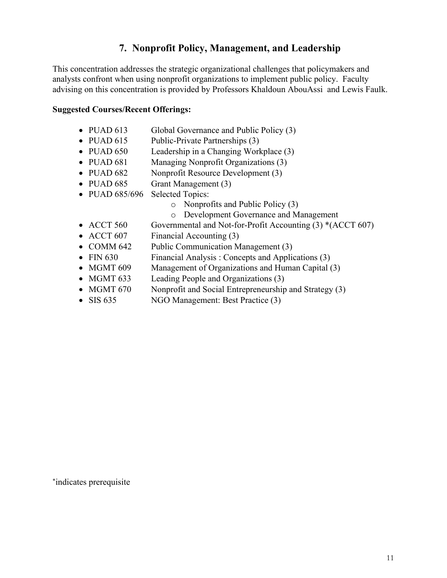## **7. Nonprofit Policy, Management, and Leadership**

This concentration addresses the strategic organizational challenges that policymakers and analysts confront when using nonprofit organizations to implement public policy. Faculty advising on this concentration is provided by Professors Khaldoun AbouAssi and Lewis Faulk.

#### **Suggested Courses/Recent Offerings:**

- PUAD 613 Global Governance and Public Policy (3)
- PUAD  $615$  Public-Private Partnerships  $(3)$
- PUAD 650 Leadership in a Changing Workplace (3)
- PUAD 681 Managing Nonprofit Organizations (3)
- PUAD 682 Nonprofit Resource Development (3)
- PUAD 685 Grant Management (3)
- PUAD 685/696 Selected Topics:
	- o Nonprofits and Public Policy (3)
	- o Development Governance and Management
- ACCT 560 Governmental and Not-for-Profit Accounting (3) \*(ACCT 607)
- ACCT 607 Financial Accounting (3)
- COMM 642 Public Communication Management (3)
- FIN 630 Financial Analysis : Concepts and Applications (3)
- MGMT 609 Management of Organizations and Human Capital (3)
- MGMT 633 Leading People and Organizations (3)
- MGMT 670 Nonprofit and Social Entrepreneurship and Strategy (3)
- SIS 635 NGO Management: Best Practice (3)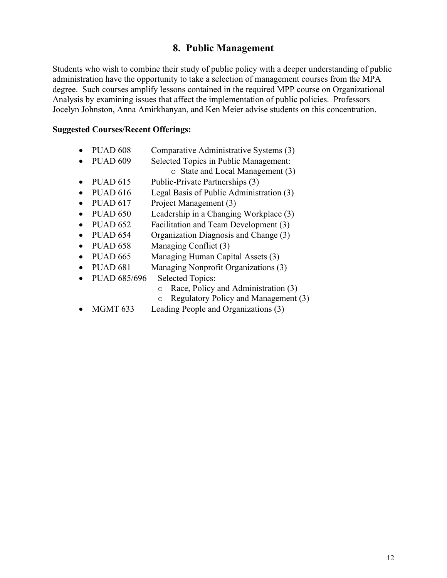## **8. Public Management**

Students who wish to combine their study of public policy with a deeper understanding of public administration have the opportunity to take a selection of management courses from the MPA degree. Such courses amplify lessons contained in the required MPP course on Organizational Analysis by examining issues that affect the implementation of public policies. Professors Jocelyn Johnston, Anna Amirkhanyan, and Ken Meier advise students on this concentration.

- PUAD 608 Comparative Administrative Systems (3)
- PUAD 609 Selected Topics in Public Management:
	- o State and Local Management (3)
- PUAD  $615$  Public-Private Partnerships  $(3)$
- PUAD 616 Legal Basis of Public Administration (3)
- PUAD 617 Project Management (3)
- PUAD 650 Leadership in a Changing Workplace (3)
- PUAD 652 Facilitation and Team Development (3)
- PUAD 654 Organization Diagnosis and Change (3)
- PUAD 658 Managing Conflict (3)
- PUAD 665 Managing Human Capital Assets (3)
- PUAD 681 Managing Nonprofit Organizations (3)
- PUAD 685/696 Selected Topics:
	- $\circ$  Race, Policy and Administration (3)<br>  $\circ$  Regulatory Policy and Management
	- Regulatory Policy and Management (3)
- MGMT 633 Leading People and Organizations (3)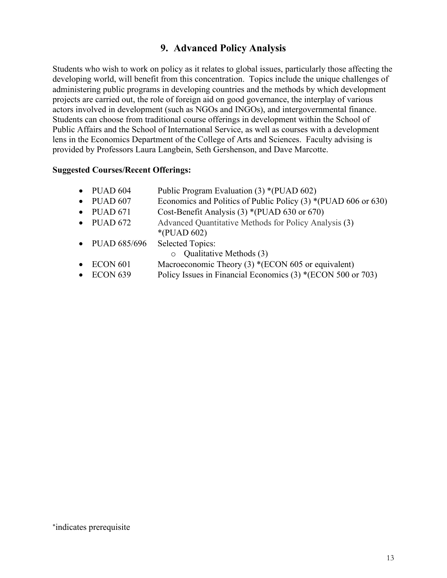## **9. Advanced Policy Analysis**

Students who wish to work on policy as it relates to global issues, particularly those affecting the developing world, will benefit from this concentration. Topics include the unique challenges of administering public programs in developing countries and the methods by which development projects are carried out, the role of foreign aid on good governance, the interplay of various actors involved in development (such as NGOs and INGOs), and intergovernmental finance. Students can choose from traditional course offerings in development within the School of Public Affairs and the School of International Service, as well as courses with a development lens in the Economics Department of the College of Arts and Sciences. Faculty advising is provided by Professors Laura Langbein, Seth Gershenson, and Dave Marcotte.

#### **Suggested Courses/Recent Offerings:**

| PUAD 604 | Public Program Evaluation (3) *(PUAD 602) |  |  |
|----------|-------------------------------------------|--|--|
|          |                                           |  |  |

- PUAD 607 Economics and Politics of Public Policy (3) \*(PUAD 606 or 630)
- PUAD  $671$  Cost-Benefit Analysis  $(3)$  \*(PUAD  $630$  or  $670$ )
- PUAD 672 Advanced Quantitative Methods for Policy Analysis (3) \*(PUAD 602)
- PUAD 685/696 Selected Topics:

o Qualitative Methods (3)

- ECON 601 Macroeconomic Theory (3) \*(ECON 605 or equivalent)
- ECON 639 Policy Issues in Financial Economics (3) \*(ECON 500 or 703)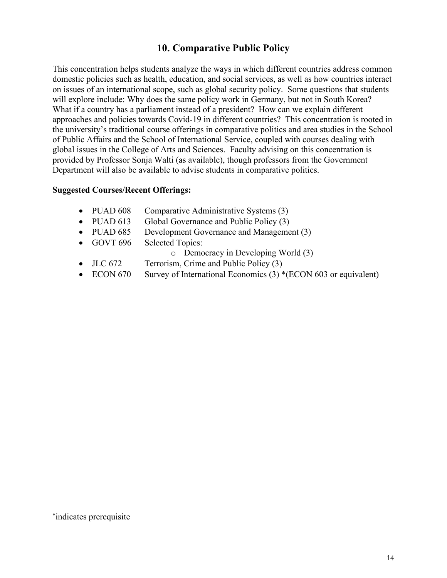## **10. Comparative Public Policy**

This concentration helps students analyze the ways in which different countries address common domestic policies such as health, education, and social services, as well as how countries interact on issues of an international scope, such as global security policy. Some questions that students will explore include: Why does the same policy work in Germany, but not in South Korea? What if a country has a parliament instead of a president? How can we explain different approaches and policies towards Covid-19 in different countries? This concentration is rooted in the university's traditional course offerings in comparative politics and area studies in the School of Public Affairs and the School of International Service, coupled with courses dealing with global issues in the College of Arts and Sciences. Faculty advising on this concentration is provided by Professor Sonja Walti (as available), though professors from the Government Department will also be available to advise students in comparative politics.

#### **Suggested Courses/Recent Offerings:**

- PUAD 608 Comparative Administrative Systems (3)
- PUAD 613 Global Governance and Public Policy (3)
- PUAD 685 Development Governance and Management (3)
- GOVT 696 Selected Topics:

o Democracy in Developing World (3)

- JLC 672 Terrorism, Crime and Public Policy (3)
- ECON 670 Survey of International Economics (3) \*(ECON 603 or equivalent)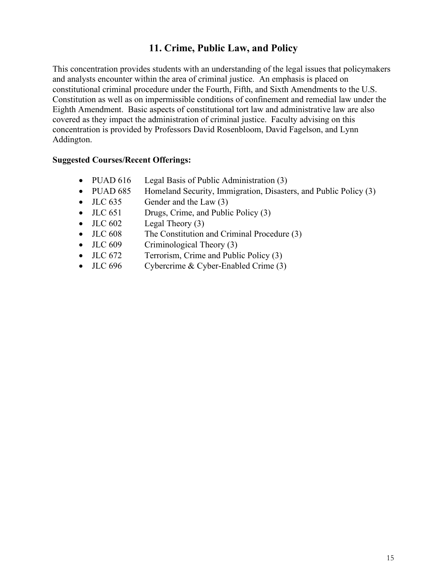## **11. Crime, Public Law, and Policy**

This concentration provides students with an understanding of the legal issues that policymakers and analysts encounter within the area of criminal justice. An emphasis is placed on constitutional criminal procedure under the Fourth, Fifth, and Sixth Amendments to the U.S. Constitution as well as on impermissible conditions of confinement and remedial law under the Eighth Amendment. Basic aspects of constitutional tort law and administrative law are also covered as they impact the administration of criminal justice. Faculty advising on this concentration is provided by Professors David Rosenbloom, David Fagelson, and Lynn Addington.

- PUAD 616 Legal Basis of Public Administration (3)
- PUAD 685 Homeland Security, Immigration, Disasters, and Public Policy (3)
- $JLC 635$  Gender and the Law  $(3)$
- JLC 651 Drugs, Crime, and Public Policy (3)
- $JLC 602$  Legal Theory (3)
- JLC 608 The Constitution and Criminal Procedure (3)
- JLC 609 Criminological Theory (3)
- JLC 672 Terrorism, Crime and Public Policy (3)
- JLC 696 Cybercrime & Cyber-Enabled Crime (3)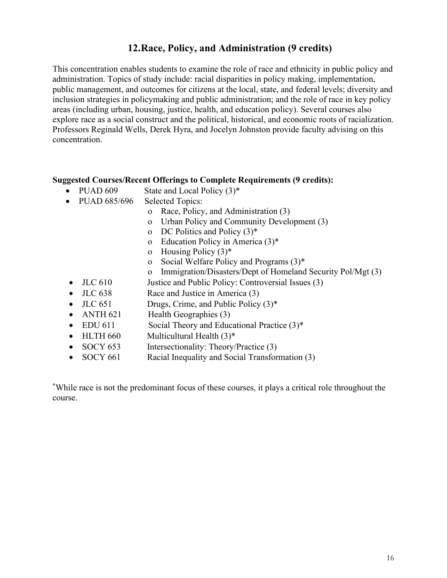## **12.Race, Policy, and Administration (9 credits)**

This concentration enables students to examine the role of race and ethnicity in public policy and administration. Topics of study include: racial disparities in policy making, implementation, public management, and outcomes for citizens at the local, state, and federal levels; diversity and inclusion strategies in policymaking and public administration; and the role of race in key policy areas (including urban, housing, justice, health, and education policy). Several courses also explore race as a social construct and the political, historical, and economic roots of racialization. Professors Reginald Wells, Derek Hyra, and Jocelyn Johnston provide faculty advising on this concentration.

#### **Suggested Courses/Recent Offerings to Complete Requirements (9 credits):**

- PUAD  $609$  State and Local Policy  $(3)^*$
- PUAD 685/696 Selected Topics:
	- o Race, Policy, and Administration (3)
	- o Urban Policy and Community Development (3)
	- o DC Politics and Policy  $(3)^*$
	- o Education Policy in America (3)\*
	- o Housing Policy (3)\*
	- o Social Welfare Policy and Programs (3)\*
	- o Immigration/Disasters/Dept of Homeland Security Pol/Mgt (3)
- JLC 610 Justice and Public Policy: Controversial Issues (3)
- JLC 638 Race and Justice in America (3)
- JLC  $651$  Drugs, Crime, and Public Policy  $(3)^*$
- ANTH 621 Health Geographies (3)
- EDU 611 Social Theory and Educational Practice (3)\*
- HLTH 660 Multicultural Health (3)\*
- SOCY 653 Intersectionality: Theory/Practice (3)
- SOCY 661 Racial Inequality and Social Transformation (3)

**\***While race is not the predominant focus of these courses, it plays a critical role throughout the course.